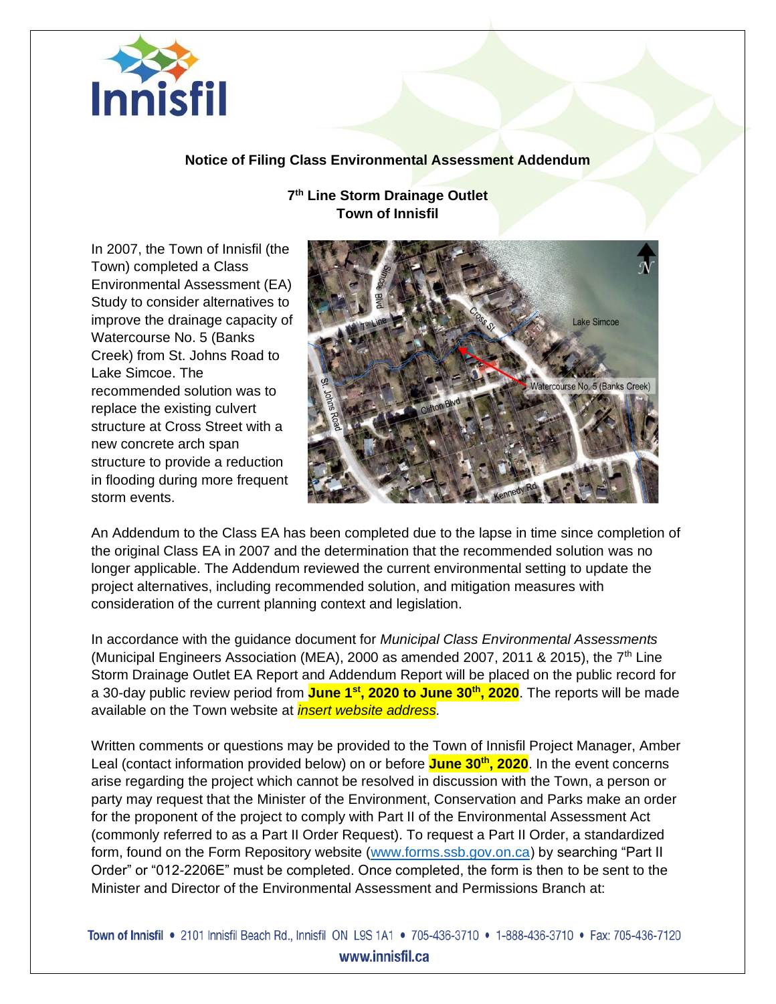

## **Notice of Filing Class Environmental Assessment Addendum**

**7 th Line Storm Drainage Outlet Town of Innisfil**

In 2007, the Town of Innisfil (the Town) completed a Class Environmental Assessment (EA) Study to consider alternatives to improve the drainage capacity of Watercourse No. 5 (Banks Creek) from St. Johns Road to Lake Simcoe. The recommended solution was to replace the existing culvert structure at Cross Street with a new concrete arch span structure to provide a reduction in flooding during more frequent storm events.



An Addendum to the Class EA has been completed due to the lapse in time since completion of the original Class EA in 2007 and the determination that the recommended solution was no longer applicable. The Addendum reviewed the current environmental setting to update the project alternatives, including recommended solution, and mitigation measures with consideration of the current planning context and legislation.

In accordance with the guidance document for *Municipal Class Environmental Assessments* (Municipal Engineers Association (MEA), 2000 as amended 2007, 2011 & 2015), the  $7<sup>th</sup>$  Line Storm Drainage Outlet EA Report and Addendum Report will be placed on the public record for a 30-day public review period from **June 1st, 2020 to June 30th, 2020**. The reports will be made available on the Town website at *insert website address.* 

Written comments or questions may be provided to the Town of Innisfil Project Manager, Amber Leal (contact information provided below) on or before **June 30th , 2020**. In the event concerns arise regarding the project which cannot be resolved in discussion with the Town, a person or party may request that the Minister of the Environment, Conservation and Parks make an order for the proponent of the project to comply with Part II of the Environmental Assessment Act (commonly referred to as a Part II Order Request). To request a Part II Order, a standardized form, found on the Form Repository website [\(www.forms.ssb.gov.on.ca\)](http://www.forms.ssb.gov.on.ca/) by searching "Part II Order" or "012-2206E" must be completed. Once completed, the form is then to be sent to the Minister and Director of the Environmental Assessment and Permissions Branch at:

Town of Innisfil • 2101 Innisfil Beach Rd., Innisfil ON L9S 1A1 • 705-436-3710 • 1-888-436-3710 • Fax: 705-436-7120 www.innisfil.ca